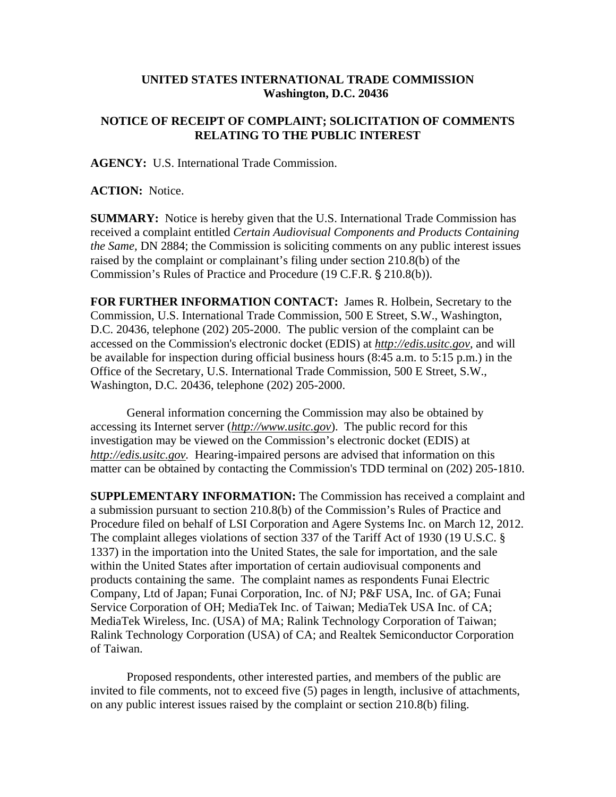## **UNITED STATES INTERNATIONAL TRADE COMMISSION Washington, D.C. 20436**

## **NOTICE OF RECEIPT OF COMPLAINT; SOLICITATION OF COMMENTS RELATING TO THE PUBLIC INTEREST**

**AGENCY:** U.S. International Trade Commission.

**ACTION:** Notice.

**SUMMARY:** Notice is hereby given that the U.S. International Trade Commission has received a complaint entitled *Certain Audiovisual Components and Products Containing the Same,* DN 2884; the Commission is soliciting comments on any public interest issues raised by the complaint or complainant's filing under section 210.8(b) of the Commission's Rules of Practice and Procedure (19 C.F.R. § 210.8(b)).

**FOR FURTHER INFORMATION CONTACT:** James R. Holbein, Secretary to the Commission, U.S. International Trade Commission, 500 E Street, S.W., Washington, D.C. 20436, telephone (202) 205-2000. The public version of the complaint can be accessed on the Commission's electronic docket (EDIS) at *http://edis.usitc.gov*, and will be available for inspection during official business hours (8:45 a.m. to 5:15 p.m.) in the Office of the Secretary, U.S. International Trade Commission, 500 E Street, S.W., Washington, D.C. 20436, telephone (202) 205-2000.

General information concerning the Commission may also be obtained by accessing its Internet server (*http://www.usitc.gov*). The public record for this investigation may be viewed on the Commission's electronic docket (EDIS) at *http://edis.usitc.gov.* Hearing-impaired persons are advised that information on this matter can be obtained by contacting the Commission's TDD terminal on (202) 205-1810.

**SUPPLEMENTARY INFORMATION:** The Commission has received a complaint and a submission pursuant to section 210.8(b) of the Commission's Rules of Practice and Procedure filed on behalf of LSI Corporation and Agere Systems Inc. on March 12, 2012. The complaint alleges violations of section 337 of the Tariff Act of 1930 (19 U.S.C. § 1337) in the importation into the United States, the sale for importation, and the sale within the United States after importation of certain audiovisual components and products containing the same. The complaint names as respondents Funai Electric Company, Ltd of Japan; Funai Corporation, Inc. of NJ; P&F USA, Inc. of GA; Funai Service Corporation of OH; MediaTek Inc. of Taiwan; MediaTek USA Inc. of CA; MediaTek Wireless, Inc. (USA) of MA; Ralink Technology Corporation of Taiwan; Ralink Technology Corporation (USA) of CA; and Realtek Semiconductor Corporation of Taiwan.

Proposed respondents, other interested parties, and members of the public are invited to file comments, not to exceed five (5) pages in length, inclusive of attachments, on any public interest issues raised by the complaint or section 210.8(b) filing.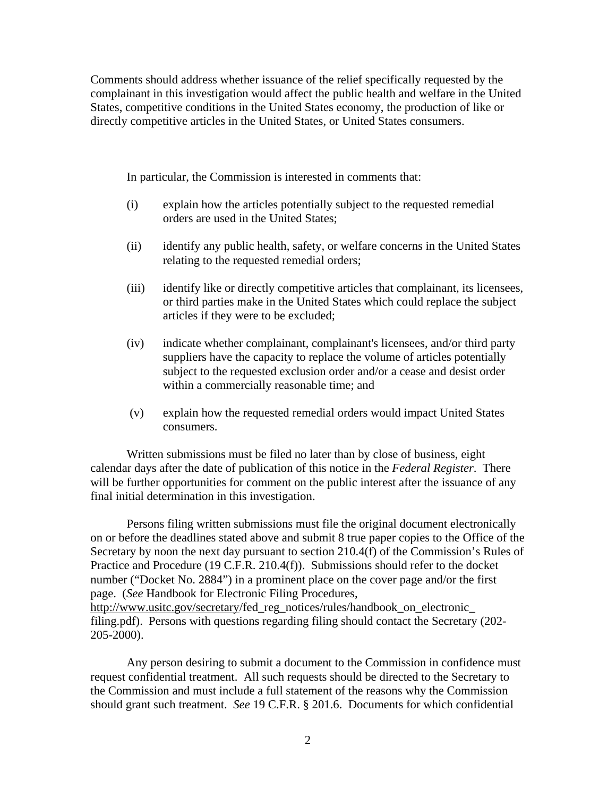Comments should address whether issuance of the relief specifically requested by the complainant in this investigation would affect the public health and welfare in the United States, competitive conditions in the United States economy, the production of like or directly competitive articles in the United States, or United States consumers.

In particular, the Commission is interested in comments that:

- (i) explain how the articles potentially subject to the requested remedial orders are used in the United States;
- (ii) identify any public health, safety, or welfare concerns in the United States relating to the requested remedial orders;
- (iii) identify like or directly competitive articles that complainant, its licensees, or third parties make in the United States which could replace the subject articles if they were to be excluded;
- (iv) indicate whether complainant, complainant's licensees, and/or third party suppliers have the capacity to replace the volume of articles potentially subject to the requested exclusion order and/or a cease and desist order within a commercially reasonable time; and
- (v) explain how the requested remedial orders would impact United States consumers.

Written submissions must be filed no later than by close of business, eight calendar days after the date of publication of this notice in the *Federal Register*. There will be further opportunities for comment on the public interest after the issuance of any final initial determination in this investigation.

Persons filing written submissions must file the original document electronically on or before the deadlines stated above and submit 8 true paper copies to the Office of the Secretary by noon the next day pursuant to section 210.4(f) of the Commission's Rules of Practice and Procedure (19 C.F.R. 210.4(f)). Submissions should refer to the docket number ("Docket No. 2884") in a prominent place on the cover page and/or the first page. (*See* Handbook for Electronic Filing Procedures, http://www.usitc.gov/secretary/fed\_reg\_notices/rules/handbook\_on\_electronic filing.pdf). Persons with questions regarding filing should contact the Secretary (202- 205-2000).

Any person desiring to submit a document to the Commission in confidence must request confidential treatment. All such requests should be directed to the Secretary to the Commission and must include a full statement of the reasons why the Commission should grant such treatment. *See* 19 C.F.R. § 201.6. Documents for which confidential